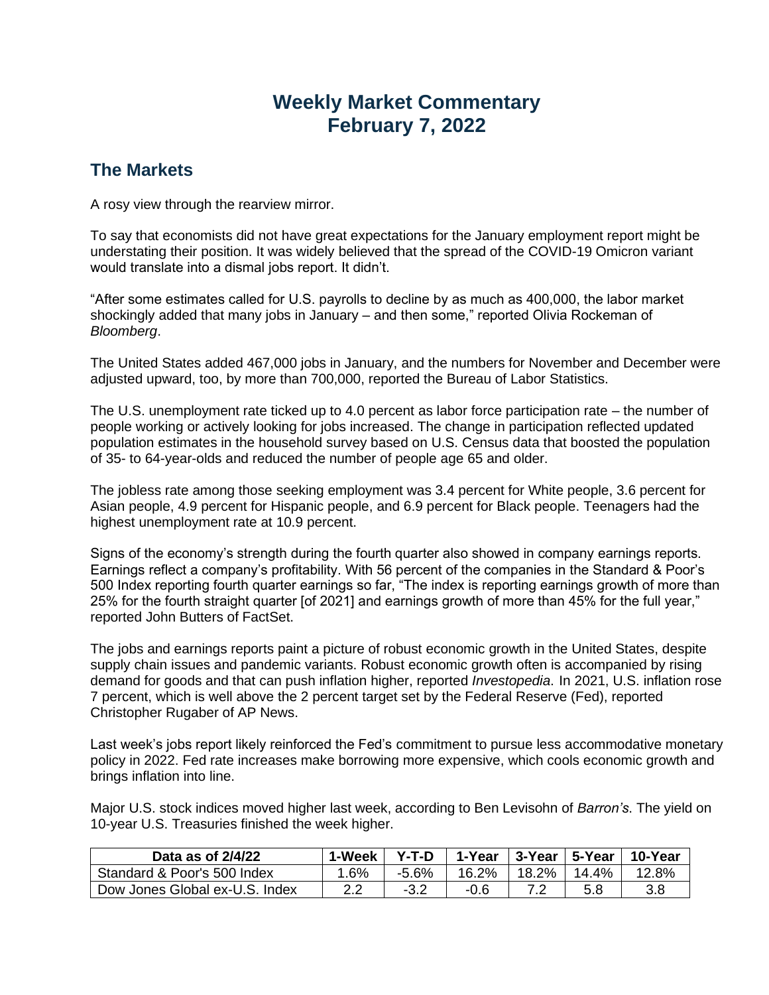## **Weekly Market Commentary February 7, 2022**

## **The Markets**

A rosy view through the rearview mirror.

To say that economists did not have great expectations for the January employment report might be understating their position. It was widely believed that the spread of the COVID-19 Omicron variant would translate into a dismal jobs report. It didn't.

"After some estimates called for U.S. payrolls to decline by as much as 400,000, the labor market shockingly added that many jobs in January – and then some," reported Olivia Rockeman of *Bloomberg*.

The United States added 467,000 jobs in January, and the numbers for November and December were adjusted upward, too, by more than 700,000, reported the Bureau of Labor Statistics.

The U.S. unemployment rate ticked up to 4.0 percent as labor force participation rate – the number of people working or actively looking for jobs increased. The change in participation reflected updated population estimates in the household survey based on U.S. Census data that boosted the population of 35- to 64-year-olds and reduced the number of people age 65 and older.

The jobless rate among those seeking employment was 3.4 percent for White people, 3.6 percent for Asian people, 4.9 percent for Hispanic people, and 6.9 percent for Black people. Teenagers had the highest unemployment rate at 10.9 percent.

Signs of the economy's strength during the fourth quarter also showed in company earnings reports. Earnings reflect a company's profitability. With 56 percent of the companies in the Standard & Poor's 500 Index reporting fourth quarter earnings so far, "The index is reporting earnings growth of more than 25% for the fourth straight quarter [of 2021] and earnings growth of more than 45% for the full year," reported John Butters of FactSet.

The jobs and earnings reports paint a picture of robust economic growth in the United States, despite supply chain issues and pandemic variants. Robust economic growth often is accompanied by rising demand for goods and that can push inflation higher, reported *Investopedia*. In 2021, U.S. inflation rose 7 percent, which is well above the 2 percent target set by the Federal Reserve (Fed), reported Christopher Rugaber of AP News.

Last week's jobs report likely reinforced the Fed's commitment to pursue less accommodative monetary policy in 2022. Fed rate increases make borrowing more expensive, which cools economic growth and brings inflation into line.

Major U.S. stock indices moved higher last week, according to Ben Levisohn of *Barron's*. The yield on 10-year U.S. Treasuries finished the week higher.

| Data as of $2/4/22$            | 1-Week | $Y-T-D$ | 1-Year | 3-Year   5-Year |       | 10-Year |
|--------------------------------|--------|---------|--------|-----------------|-------|---------|
| Standard & Poor's 500 Index    | .6%    | -5.6%   | 16.2%  | 18.2%           | 14.4% | 12.8%   |
| Dow Jones Global ex-U.S. Index |        | -3.2    | -0.6   |                 |       | 3.8     |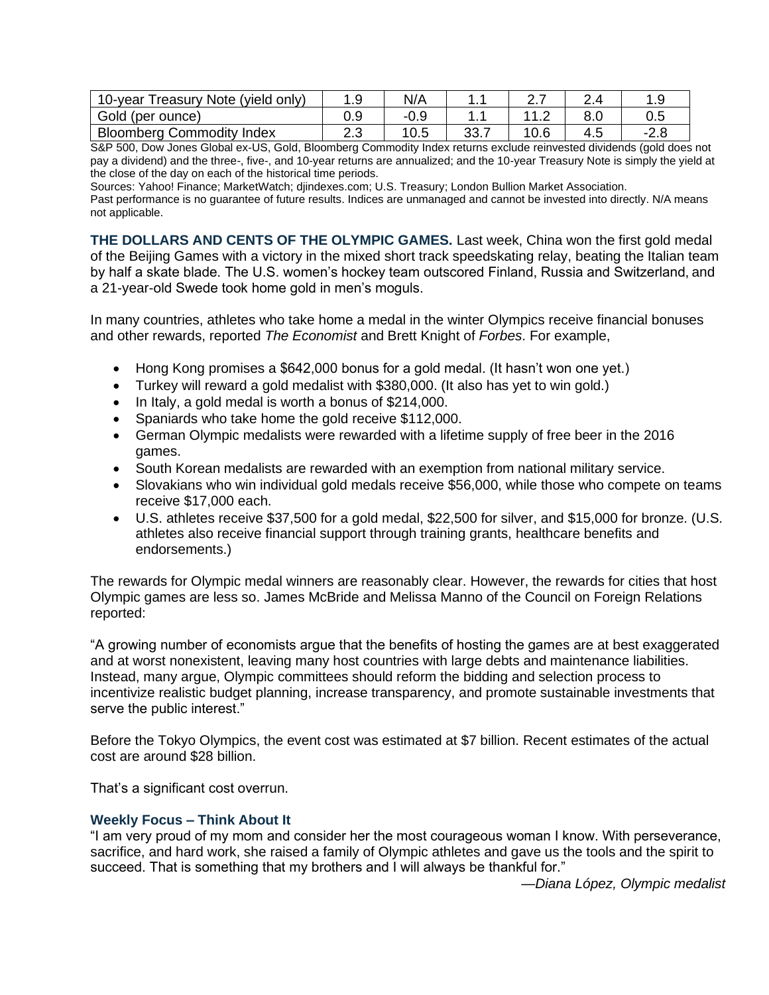| Treasury Note (yield only)<br>$10$ -year | ن. ا | N/A  | .         | <u>.</u> |      |
|------------------------------------------|------|------|-----------|----------|------|
| Gold (per ounce)                         |      | -0.9 |           | . .      | 0.5  |
| <b>Bloomberg Commodity Index</b>         | د.ء  |      | າາ<br>ບບ. |          | -2.8 |

S&P 500, Dow Jones Global ex-US, Gold, Bloomberg Commodity Index returns exclude reinvested dividends (gold does not pay a dividend) and the three-, five-, and 10-year returns are annualized; and the 10-year Treasury Note is simply the yield at the close of the day on each of the historical time periods.

Sources: Yahoo! Finance; MarketWatch; djindexes.com; U.S. Treasury; London Bullion Market Association.

Past performance is no guarantee of future results. Indices are unmanaged and cannot be invested into directly. N/A means not applicable.

**THE DOLLARS AND CENTS OF THE OLYMPIC GAMES.** Last week, China won the first gold medal of the Beijing Games with a victory in the mixed short track speedskating relay, beating the Italian team by half a skate blade. The U.S. women's hockey team outscored Finland, Russia and Switzerland, and a 21-year-old Swede took home gold in men's moguls.

In many countries, athletes who take home a medal in the winter Olympics receive financial bonuses and other rewards, reported *The Economist* and Brett Knight of *Forbes*. For example,

- Hong Kong promises a \$642,000 bonus for a gold medal. (It hasn't won one yet.)
- Turkey will reward a gold medalist with \$380,000. (It also has yet to win gold.)
- In Italy, a gold medal is worth a bonus of \$214,000.
- Spaniards who take home the gold receive \$112,000.
- German Olympic medalists were rewarded with a lifetime supply of free beer in the 2016 games.
- South Korean medalists are rewarded with an exemption from national military service.
- Slovakians who win individual gold medals receive \$56,000, while those who compete on teams receive \$17,000 each.
- U.S. athletes receive \$37,500 for a gold medal, \$22,500 for silver, and \$15,000 for bronze. (U.S. athletes also receive financial support through training grants, healthcare benefits and endorsements.)

The rewards for Olympic medal winners are reasonably clear. However, the rewards for cities that host Olympic games are less so. James McBride and Melissa Manno of the Council on Foreign Relations reported:

"A growing number of economists argue that the benefits of hosting the games are at best exaggerated and at worst nonexistent, leaving many host countries with large debts and maintenance liabilities. Instead, many argue, Olympic committees should reform the bidding and selection process to incentivize realistic budget planning, increase transparency, and promote sustainable investments that serve the public interest."

Before the Tokyo Olympics, the event cost was estimated at \$7 billion. Recent estimates of the actual cost are around \$28 billion.

That's a significant cost overrun.

## **Weekly Focus – Think About It**

"I am very proud of my mom and consider her the most courageous woman I know. With perseverance, sacrifice, and hard work, she raised a family of Olympic athletes and gave us the tools and the spirit to succeed. That is something that my brothers and I will always be thankful for."

*—Diana López, Olympic medalist*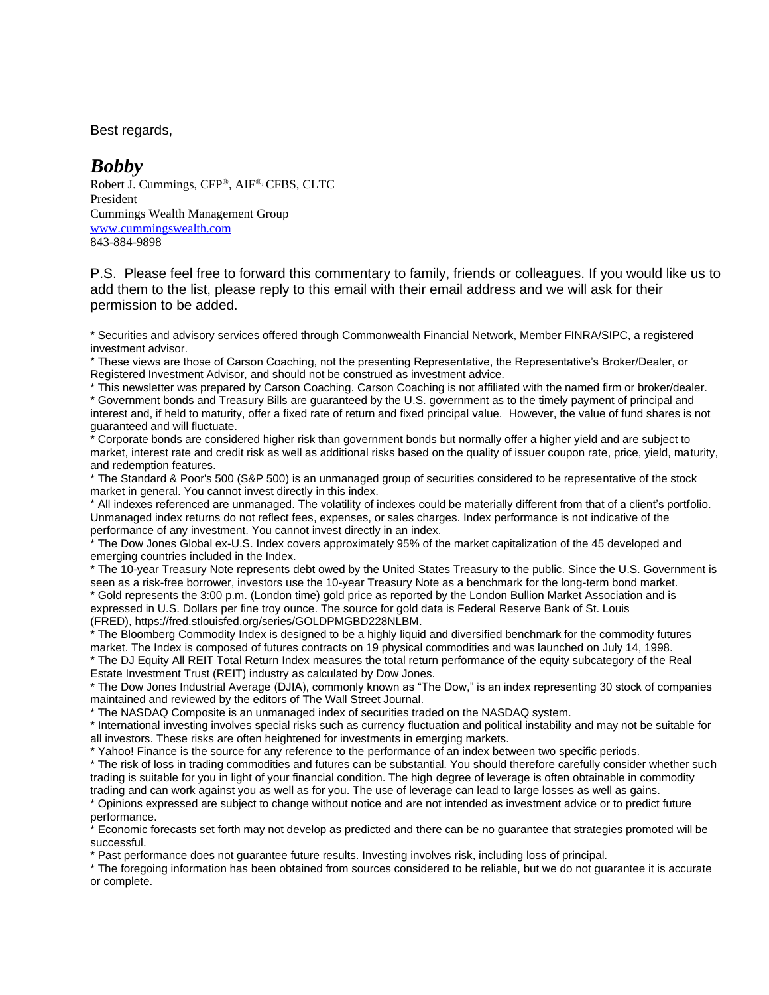Best regards,

## *Bobby*

Robert J. Cummings, CFP®, AIF®, CFBS, CLTC President Cummings Wealth Management Group [www.cummingswealth.com](http://www.cummingswealth.com/) 843-884-9898

P.S. Please feel free to forward this commentary to family, friends or colleagues. If you would like us to add them to the list, please reply to this email with their email address and we will ask for their permission to be added.

\* Securities and advisory services offered through Commonwealth Financial Network, Member FINRA/SIPC, a registered investment advisor.

\* These views are those of Carson Coaching, not the presenting Representative, the Representative's Broker/Dealer, or Registered Investment Advisor, and should not be construed as investment advice.

\* This newsletter was prepared by Carson Coaching. Carson Coaching is not affiliated with the named firm or broker/dealer. \* Government bonds and Treasury Bills are guaranteed by the U.S. government as to the timely payment of principal and interest and, if held to maturity, offer a fixed rate of return and fixed principal value. However, the value of fund shares is not guaranteed and will fluctuate.

\* Corporate bonds are considered higher risk than government bonds but normally offer a higher yield and are subject to market, interest rate and credit risk as well as additional risks based on the quality of issuer coupon rate, price, yield, maturity, and redemption features.

\* The Standard & Poor's 500 (S&P 500) is an unmanaged group of securities considered to be representative of the stock market in general. You cannot invest directly in this index.

\* All indexes referenced are unmanaged. The volatility of indexes could be materially different from that of a client's portfolio. Unmanaged index returns do not reflect fees, expenses, or sales charges. Index performance is not indicative of the performance of any investment. You cannot invest directly in an index.

\* The Dow Jones Global ex-U.S. Index covers approximately 95% of the market capitalization of the 45 developed and emerging countries included in the Index.

\* The 10-year Treasury Note represents debt owed by the United States Treasury to the public. Since the U.S. Government is seen as a risk-free borrower, investors use the 10-year Treasury Note as a benchmark for the long-term bond market. \* Gold represents the 3:00 p.m. (London time) gold price as reported by the London Bullion Market Association and is expressed in U.S. Dollars per fine troy ounce. The source for gold data is Federal Reserve Bank of St. Louis (FRED), https://fred.stlouisfed.org/series/GOLDPMGBD228NLBM.

\* The Bloomberg Commodity Index is designed to be a highly liquid and diversified benchmark for the commodity futures market. The Index is composed of futures contracts on 19 physical commodities and was launched on July 14, 1998. \* The DJ Equity All REIT Total Return Index measures the total return performance of the equity subcategory of the Real

Estate Investment Trust (REIT) industry as calculated by Dow Jones.

\* The Dow Jones Industrial Average (DJIA), commonly known as "The Dow," is an index representing 30 stock of companies maintained and reviewed by the editors of The Wall Street Journal.

\* The NASDAQ Composite is an unmanaged index of securities traded on the NASDAQ system.

\* International investing involves special risks such as currency fluctuation and political instability and may not be suitable for all investors. These risks are often heightened for investments in emerging markets.

\* Yahoo! Finance is the source for any reference to the performance of an index between two specific periods.

\* The risk of loss in trading commodities and futures can be substantial. You should therefore carefully consider whether such trading is suitable for you in light of your financial condition. The high degree of leverage is often obtainable in commodity trading and can work against you as well as for you. The use of leverage can lead to large losses as well as gains.

\* Opinions expressed are subject to change without notice and are not intended as investment advice or to predict future performance.

\* Economic forecasts set forth may not develop as predicted and there can be no guarantee that strategies promoted will be successful.

\* Past performance does not guarantee future results. Investing involves risk, including loss of principal.

\* The foregoing information has been obtained from sources considered to be reliable, but we do not guarantee it is accurate or complete.